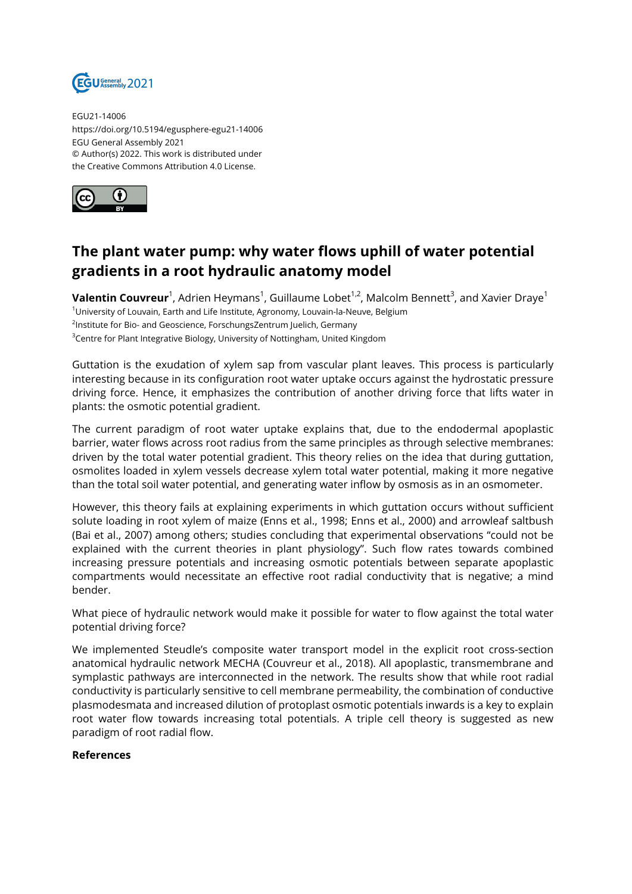

EGU21-14006 https://doi.org/10.5194/egusphere-egu21-14006 EGU General Assembly 2021 © Author(s) 2022. This work is distributed under the Creative Commons Attribution 4.0 License.



## **The plant water pump: why water flows uphill of water potential gradients in a root hydraulic anatomy model**

**Valentin Couvreur**<sup>1</sup>, Adrien Heymans<sup>1</sup>, Guillaume Lobet<sup>1,2</sup>, Malcolm Bennett<sup>3</sup>, and Xavier Draye<sup>1</sup> <sup>1</sup>University of Louvain, Earth and Life Institute, Agronomy, Louvain-la-Neuve, Belgium <sup>2</sup>Institute for Bio- and Geoscience, ForschungsZentrum Juelich, Germany <sup>3</sup>Centre for Plant Integrative Biology, University of Nottingham, United Kingdom

Guttation is the exudation of xylem sap from vascular plant leaves. This process is particularly interesting because in its configuration root water uptake occurs against the hydrostatic pressure driving force. Hence, it emphasizes the contribution of another driving force that lifts water in plants: the osmotic potential gradient.

The current paradigm of root water uptake explains that, due to the endodermal apoplastic barrier, water flows across root radius from the same principles as through selective membranes: driven by the total water potential gradient. This theory relies on the idea that during guttation, osmolites loaded in xylem vessels decrease xylem total water potential, making it more negative than the total soil water potential, and generating water inflow by osmosis as in an osmometer.

However, this theory fails at explaining experiments in which guttation occurs without sufficient solute loading in root xylem of maize (Enns et al., 1998; Enns et al., 2000) and arrowleaf saltbush (Bai et al., 2007) among others; studies concluding that experimental observations "could not be explained with the current theories in plant physiology". Such flow rates towards combined increasing pressure potentials and increasing osmotic potentials between separate apoplastic compartments would necessitate an effective root radial conductivity that is negative; a mind bender.

What piece of hydraulic network would make it possible for water to flow against the total water potential driving force?

We implemented Steudle's composite water transport model in the explicit root cross-section anatomical hydraulic network MECHA (Couvreur et al., 2018). All apoplastic, transmembrane and symplastic pathways are interconnected in the network. The results show that while root radial conductivity is particularly sensitive to cell membrane permeability, the combination of conductive plasmodesmata and increased dilution of protoplast osmotic potentials inwards is a key to explain root water flow towards increasing total potentials. A triple cell theory is suggested as new paradigm of root radial flow.

## **References**